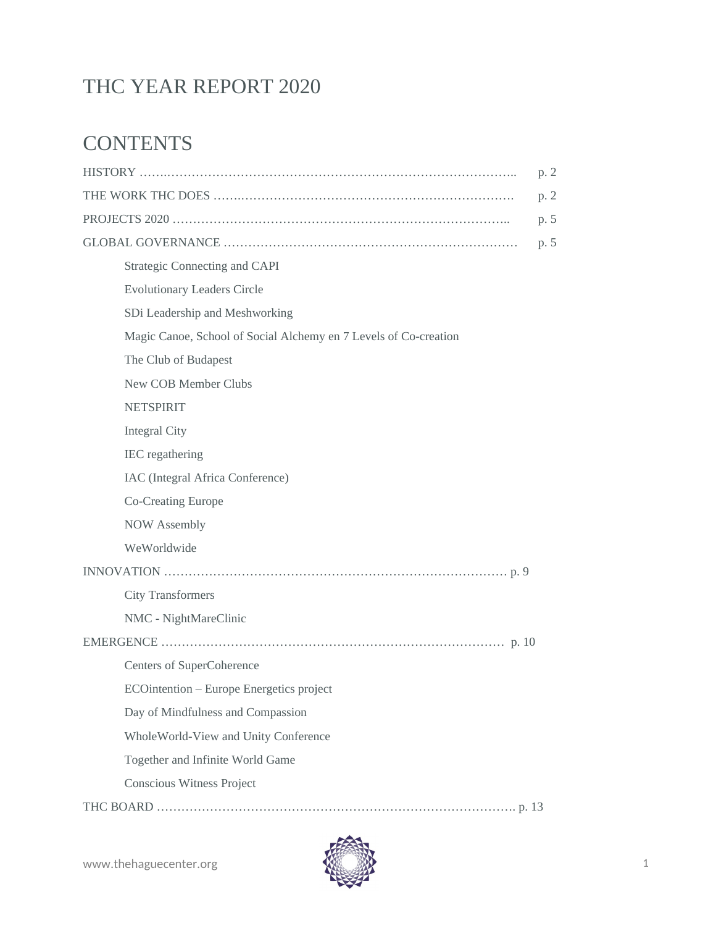# THC YEAR REPORT 2020

# **CONTENTS**

|                                                                  | p. 2 |
|------------------------------------------------------------------|------|
|                                                                  | p. 2 |
|                                                                  | p. 5 |
|                                                                  | p. 5 |
| <b>Strategic Connecting and CAPI</b>                             |      |
| <b>Evolutionary Leaders Circle</b>                               |      |
| SDi Leadership and Meshworking                                   |      |
| Magic Canoe, School of Social Alchemy en 7 Levels of Co-creation |      |
| The Club of Budapest                                             |      |
| New COB Member Clubs                                             |      |
| <b>NETSPIRIT</b>                                                 |      |
| <b>Integral City</b>                                             |      |
| IEC regathering                                                  |      |
| IAC (Integral Africa Conference)                                 |      |
| <b>Co-Creating Europe</b>                                        |      |
| <b>NOW Assembly</b>                                              |      |
| WeWorldwide                                                      |      |
|                                                                  |      |
| <b>City Transformers</b>                                         |      |
| NMC - NightMareClinic                                            |      |
|                                                                  |      |
| <b>Centers of SuperCoherence</b>                                 |      |
| ECOintention - Europe Energetics project                         |      |
| Day of Mindfulness and Compassion                                |      |
| WholeWorld-View and Unity Conference                             |      |
| Together and Infinite World Game                                 |      |
| <b>Conscious Witness Project</b>                                 |      |
|                                                                  |      |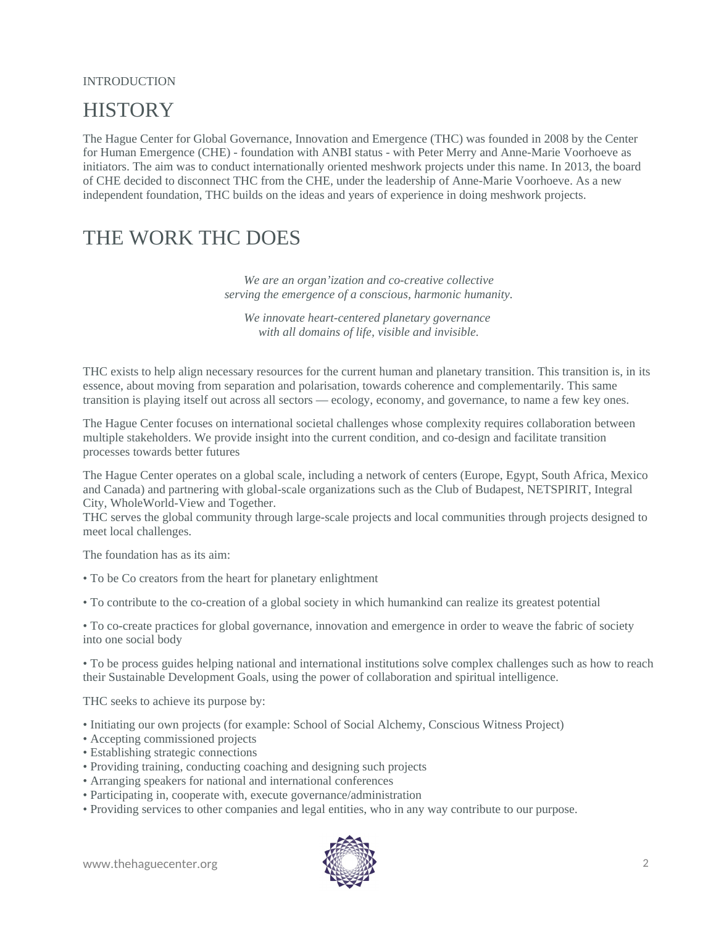#### INTRODUCTION

# **HISTORY**

The Hague Center for Global Governance, Innovation and Emergence (THC) was founded in 2008 by the Center for Human Emergence (CHE) - foundation with ANBI status - with Peter Merry and Anne-Marie Voorhoeve as initiators. The aim was to conduct internationally oriented meshwork projects under this name. In 2013, the board of CHE decided to disconnect THC from the CHE, under the leadership of Anne-Marie Voorhoeve. As a new independent foundation, THC builds on the ideas and years of experience in doing meshwork projects.

# THE WORK THC DOES

*We are an organ'ization and co-creative collective serving the emergence of a conscious, harmonic humanity.*

*We innovate heart-centered planetary governance with all domains of life, visible and invisible.*

THC exists to help align necessary resources for the current human and planetary transition. This transition is, in its essence, about moving from separation and polarisation, towards coherence and complementarily. This same transition is playing itself out across all sectors — ecology, economy, and governance, to name a few key ones.

The Hague Center focuses on international societal challenges whose complexity requires collaboration between multiple stakeholders. We provide insight into the current condition, and co-design and facilitate transition processes towards better futures

The Hague Center operates on a global scale, including a network of centers (Europe, Egypt, South Africa, Mexico and Canada) and partnering with global-scale organizations such as the Club of Budapest, NETSPIRIT, Integral City, WholeWorld-View and Together.

THC serves the global community through large-scale projects and local communities through projects designed to meet local challenges.

The foundation has as its aim:

- To be Co creators from the heart for planetary enlightment
- To contribute to the co-creation of a global society in which humankind can realize its greatest potential

• To co-create practices for global governance, innovation and emergence in order to weave the fabric of society into one social body

• To be process guides helping national and international institutions solve complex challenges such as how to reach their Sustainable Development Goals, using the power of collaboration and spiritual intelligence.

THC seeks to achieve its purpose by:

- Initiating our own projects (for example: School of Social Alchemy, Conscious Witness Project)
- Accepting commissioned projects
- Establishing strategic connections
- Providing training, conducting coaching and designing such projects
- Arranging speakers for national and international conferences
- Participating in, cooperate with, execute governance/administration
- Providing services to other companies and legal entities, who in any way contribute to our purpose.

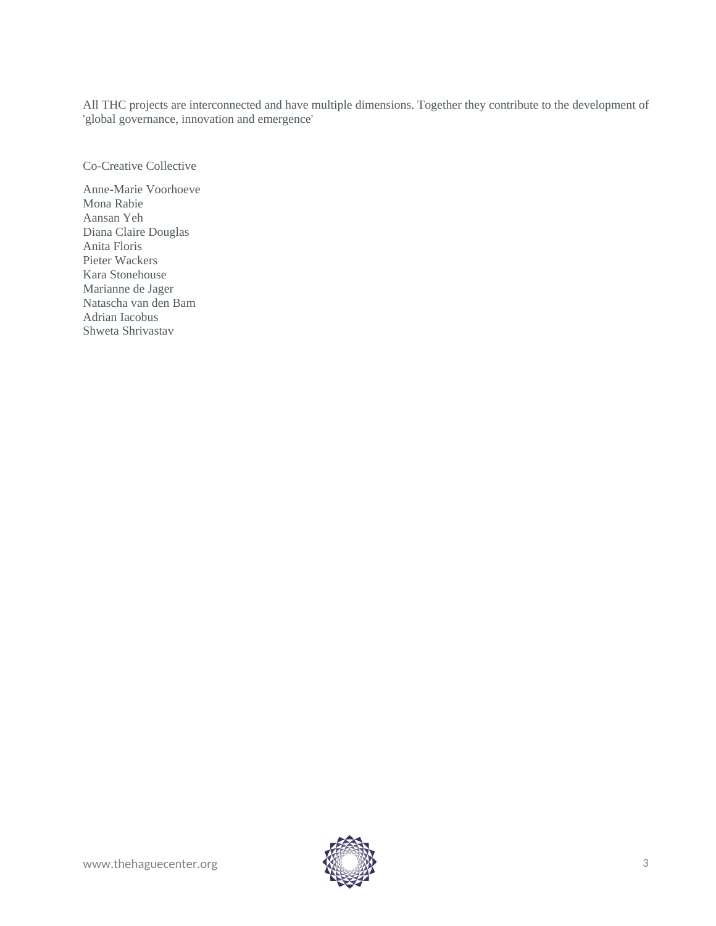All THC projects are interconnected and have multiple dimensions. Together they contribute to the development of 'global governance, innovation and emergence'

Co-Creative Collective

Anne-Marie Voorhoeve Mona Rabie Aansan Yeh Diana Claire Douglas Anita Floris Pieter Wackers Kara Stonehouse Marianne de Jager Natascha van den Bam Adrian Iacobus Shweta Shrivastav

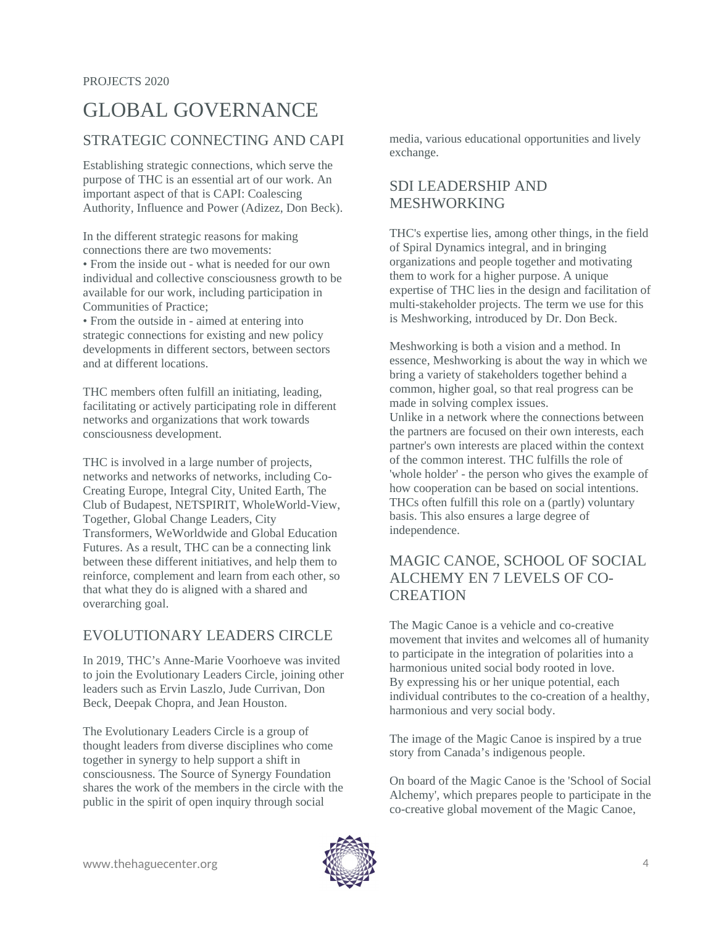# GLOBAL GOVERNANCE

## STRATEGIC CONNECTING AND CAPI

Establishing strategic connections, which serve the purpose of THC is an essential art of our work. An important aspect of that is CAPI: Coalescing Authority, Influence and Power (Adizez, Don Beck).

In the different strategic reasons for making connections there are two movements: • From the inside out - what is needed for our own individual and collective consciousness growth to be available for our work, including participation in Communities of Practice;

• From the outside in - aimed at entering into strategic connections for existing and new policy developments in different sectors, between sectors and at different locations.

THC members often fulfill an initiating, leading, facilitating or actively participating role in different networks and organizations that work towards consciousness development.

THC is involved in a large number of projects, networks and networks of networks, including Co-Creating Europe, Integral City, United Earth, The Club of Budapest, NETSPIRIT, WholeWorld-View, Together, Global Change Leaders, City Transformers, WeWorldwide and Global Education Futures. As a result, THC can be a connecting link between these different initiatives, and help them to reinforce, complement and learn from each other, so that what they do is aligned with a shared and overarching goal.

# EVOLUTIONARY LEADERS CIRCLE

In 2019, THC's Anne-Marie Voorhoeve was invited to join the Evolutionary Leaders Circle, joining other leaders such as Ervin Laszlo, Jude Currivan, Don Beck, Deepak Chopra, and Jean Houston.

The Evolutionary Leaders Circle is a group of thought leaders from diverse disciplines who come together in synergy to help support a shift in consciousness. The Source of Synergy Foundation shares the work of the members in the circle with the public in the spirit of open inquiry through social

media, various educational opportunities and lively exchange.

# SDI LEADERSHIP AND MESHWORKING

THC's expertise lies, among other things, in the field of Spiral Dynamics integral, and in bringing organizations and people together and motivating them to work for a higher purpose. A unique expertise of THC lies in the design and facilitation of multi-stakeholder projects. The term we use for this is Meshworking, introduced by Dr. Don Beck.

Meshworking is both a vision and a method. In essence, Meshworking is about the way in which we bring a variety of stakeholders together behind a common, higher goal, so that real progress can be made in solving complex issues. Unlike in a network where the connections between

the partners are focused on their own interests, each partner's own interests are placed within the context of the common interest. THC fulfills the role of 'whole holder' - the person who gives the example of how cooperation can be based on social intentions. THCs often fulfill this role on a (partly) voluntary basis. This also ensures a large degree of independence.

# MAGIC CANOE, SCHOOL OF SOCIAL ALCHEMY EN 7 LEVELS OF CO-**CREATION**

The Magic Canoe is a vehicle and co-creative movement that invites and welcomes all of humanity to participate in the integration of polarities into a harmonious united social body rooted in love. By expressing his or her unique potential, each individual contributes to the co-creation of a healthy, harmonious and very social body.

The image of the Magic Canoe is inspired by a true story from Canada's indigenous people.

On board of the Magic Canoe is the 'School of Social Alchemy', which prepares people to participate in the co-creative global movement of the Magic Canoe,

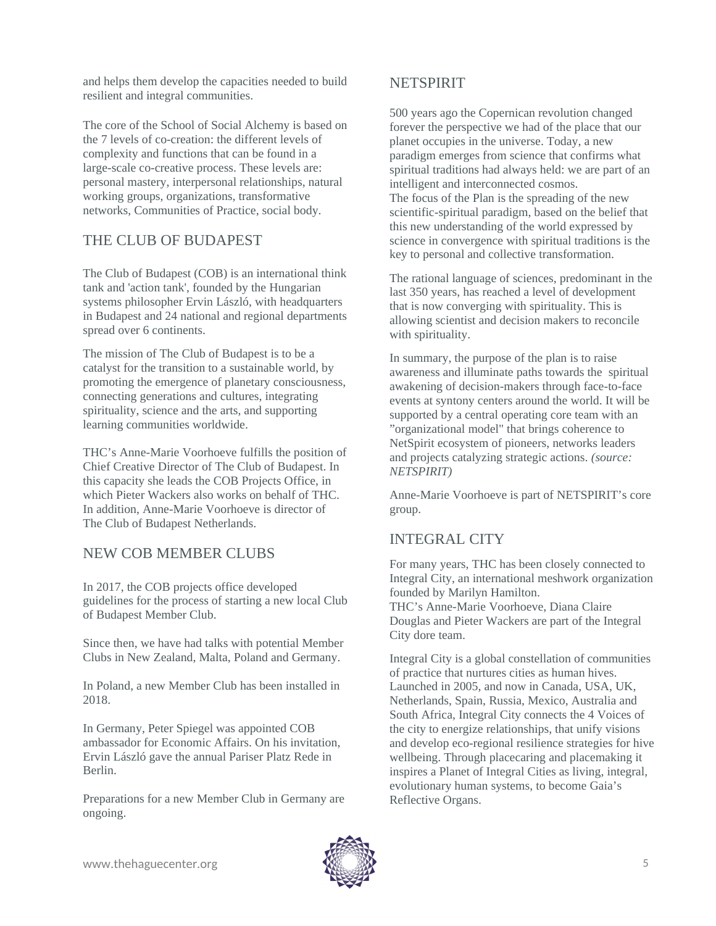and helps them develop the capacities needed to build resilient and integral communities.

The core of the School of Social Alchemy is based on the 7 levels of co-creation: the different levels of complexity and functions that can be found in a large-scale co-creative process. These levels are: personal mastery, interpersonal relationships, natural working groups, organizations, transformative networks, Communities of Practice, social body.

# THE CLUB OF BUDAPEST

The Club of Budapest (COB) is an international think tank and 'action tank', founded by the Hungarian systems philosopher Ervin László, with headquarters in Budapest and 24 national and regional departments spread over 6 continents.

The mission of The Club of Budapest is to be a catalyst for the transition to a sustainable world, by promoting the emergence of planetary consciousness, connecting generations and cultures, integrating spirituality, science and the arts, and supporting learning communities worldwide.

THC's Anne-Marie Voorhoeve fulfills the position of Chief Creative Director of The Club of Budapest. In this capacity she leads the COB Projects Office, in which Pieter Wackers also works on behalf of THC. In addition, Anne-Marie Voorhoeve is director of The Club of Budapest Netherlands.

### NEW COB MEMBER CLUBS

In 2017, the COB projects office developed guidelines for the process of starting a new local Club of Budapest Member Club.

Since then, we have had talks with potential Member Clubs in New Zealand, Malta, Poland and Germany.

In Poland, a new Member Club has been installed in 2018.

In Germany, Peter Spiegel was appointed COB ambassador for Economic Affairs. On his invitation, Ervin László gave the annual Pariser Platz Rede in Berlin.

Preparations for a new Member Club in Germany are ongoing.

### NETSPIRIT

500 years ago the Copernican revolution changed forever the perspective we had of the place that our planet occupies in the universe. Today, a new paradigm emerges from science that confirms what spiritual traditions had always held: we are part of an intelligent and interconnected cosmos. The focus of the Plan is the spreading of the new scientific-spiritual paradigm, based on the belief that this new understanding of the world expressed by science in convergence with spiritual traditions is the key to personal and collective transformation.

The rational language of sciences, predominant in the last 350 years, has reached a level of development that is now converging with spirituality. This is allowing scientist and decision makers to reconcile with spirituality.

In summary, the purpose of the plan is to raise awareness and illuminate paths towards the spiritual awakening of decision-makers through face-to-face events at syntony centers around the world. It will be supported by a central operating core team with an "organizational model" that brings coherence to NetSpirit ecosystem of pioneers, networks leaders and projects catalyzing strategic actions. *(source: NETSPIRIT)*

Anne-Marie Voorhoeve is part of NETSPIRIT's core group.

# INTEGRAL CITY

For many years, THC has been closely connected to Integral City, an international meshwork organization founded by Marilyn Hamilton. THC's Anne-Marie Voorhoeve, Diana Claire Douglas and Pieter Wackers are part of the Integral City dore team.

Integral City is a global constellation of communities of practice that nurtures cities as human hives. Launched in 2005, and now in Canada, USA, UK, Netherlands, Spain, Russia, Mexico, Australia and South Africa, Integral City connects the 4 Voices of the city to energize relationships, that unify visions and develop eco-regional resilience strategies for hive wellbeing. Through placecaring and placemaking it inspires a Planet of Integral Cities as living, integral, evolutionary human systems, to become Gaia's Reflective Organs.

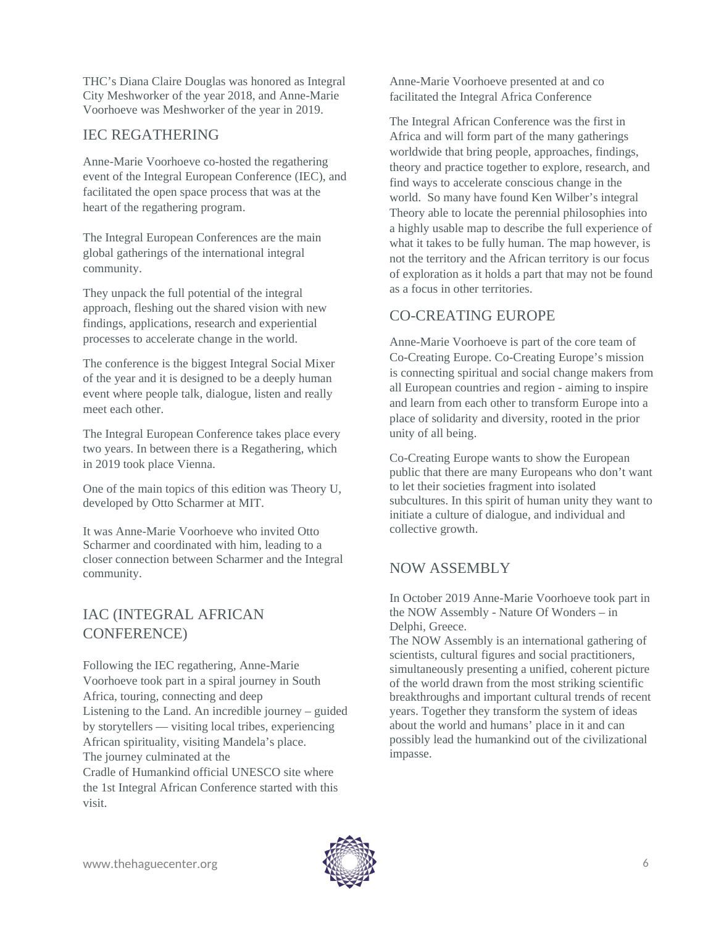THC's Diana Claire Douglas was honored as Integral City Meshworker of the year 2018, and Anne-Marie Voorhoeve was Meshworker of the year in 2019.

## IEC REGATHERING

Anne-Marie Voorhoeve co-hosted the regathering event of the Integral European Conference (IEC), and facilitated the open space process that was at the heart of the regathering program.

The Integral European Conferences are the main global gatherings of the international integral community.

They unpack the full potential of the integral approach, fleshing out the shared vision with new findings, applications, research and experiential processes to accelerate change in the world.

The conference is the biggest Integral Social Mixer of the year and it is designed to be a deeply human event where people talk, dialogue, listen and really meet each other.

The Integral European Conference takes place every two years. In between there is a Regathering, which in 2019 took place Vienna.

One of the main topics of this edition was Theory U, developed by Otto Scharmer at MIT.

It was Anne-Marie Voorhoeve who invited Otto Scharmer and coordinated with him, leading to a closer connection between Scharmer and the Integral community.

# IAC (INTEGRAL AFRICAN CONFERENCE)

Following the IEC regathering, Anne-Marie Voorhoeve took part in a spiral journey in South Africa, touring, connecting and deep Listening to the Land. An incredible journey – guided by storytellers — visiting local tribes, experiencing African spirituality, visiting Mandela's place. The journey culminated at the Cradle of Humankind official UNESCO site where the 1st Integral African Conference started with this visit.

Anne-Marie Voorhoeve presented at and co facilitated the Integral Africa Conference

The Integral African Conference was the first in Africa and will form part of the many gatherings worldwide that bring people, approaches, findings, theory and practice together to explore, research, and find ways to accelerate conscious change in the world. So many have found Ken Wilber's integral Theory able to locate the perennial philosophies into a highly usable map to describe the full experience of what it takes to be fully human. The map however, is not the territory and the African territory is our focus of exploration as it holds a part that may not be found as a focus in other territories.

# CO-CREATING EUROPE

Anne-Marie Voorhoeve is part of the core team of Co-Creating Europe. Co-Creating Europe's mission is connecting spiritual and social change makers from all European countries and region - aiming to inspire and learn from each other to transform Europe into a place of solidarity and diversity, rooted in the prior unity of all being.

Co-Creating Europe wants to show the European public that there are many Europeans who don't want to let their societies fragment into isolated subcultures. In this spirit of human unity they want to initiate a culture of dialogue, and individual and collective growth.

# NOW ASSEMBLY

In October 2019 Anne-Marie Voorhoeve took part in the NOW Assembly - Nature Of Wonders – in Delphi, Greece.

The NOW Assembly is an international gathering of scientists, cultural figures and social practitioners, simultaneously presenting a unified, coherent picture of the world drawn from the most striking scientific breakthroughs and important cultural trends of recent years. Together they transform the system of ideas about the world and humans' place in it and can possibly lead the humankind out of the civilizational impasse.

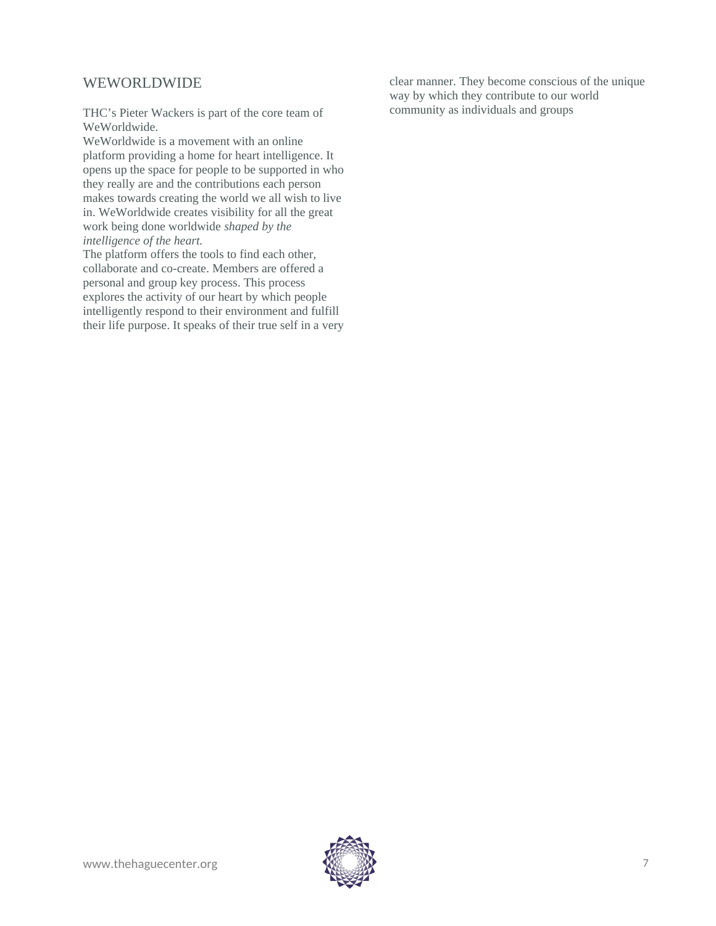### WEWORLDWIDE

THC's Pieter Wackers is part of the core team of WeWorldwide.

WeWorldwide is a movement with an online platform providing a home for heart intelligence. It opens up the space for people to be supported in who they really are and the contributions each person makes towards creating the world we all wish to live in. WeWorldwide creates visibility for all the great work being done worldwide *shaped by the intelligence of the heart.*

The platform offers the tools to find each other, collaborate and co-create. Members are offered a personal and group key process. This process explores the activity of our heart by which people intelligently respond to their environment and fulfill their life purpose. It speaks of their true self in a very clear manner. They become conscious of the unique way by which they contribute to our world community as individuals and groups

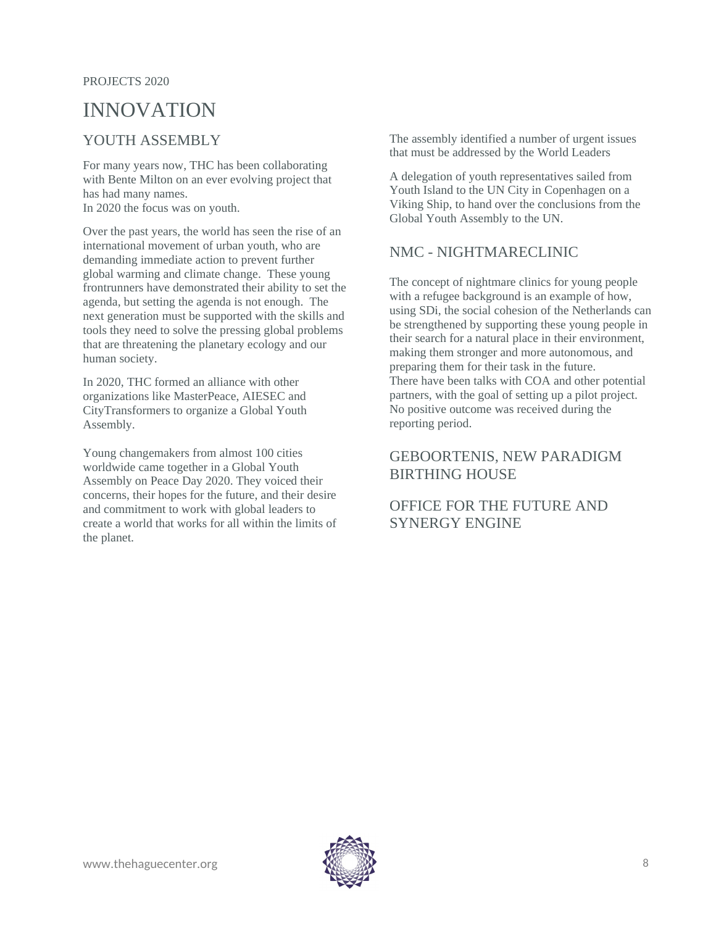#### PROJECTS 2020

# INNOVATION

## YOUTH ASSEMBLY

For many years now, THC has been collaborating with Bente Milton on an ever evolving project that has had many names. In 2020 the focus was on youth.

Over the past years, the world has seen the rise of an international movement of urban youth, who are demanding immediate action to prevent further global warming and climate change. These young frontrunners have demonstrated their ability to set the agenda, but setting the agenda is not enough. The next generation must be supported with the skills and tools they need to solve the pressing global problems that are threatening the planetary ecology and our human society.

In 2020, THC formed an alliance with other organizations like MasterPeace, AIESEC and CityTransformers to organize a Global Youth Assembly.

Young changemakers from almost 100 cities worldwide came together in a Global Youth Assembly on Peace Day 2020. They voiced their concerns, their hopes for the future, and their desire and commitment to work with global leaders to create a world that works for all within the limits of the planet.

The assembly identified a number of urgent issues that must be addressed by the World Leaders

A delegation of youth representatives sailed from Youth Island to the UN City in Copenhagen on a Viking Ship, to hand over the conclusions from the Global Youth Assembly to the UN.

## NMC - NIGHTMARECLINIC

The concept of nightmare clinics for young people with a refugee background is an example of how, using SDi, the social cohesion of the Netherlands can be strengthened by supporting these young people in their search for a natural place in their environment, making them stronger and more autonomous, and preparing them for their task in the future. There have been talks with COA and other potential partners, with the goal of setting up a pilot project. No positive outcome was received during the reporting period.

### GEBOORTENIS, NEW PARADIGM BIRTHING HOUSE

## OFFICE FOR THE FUTURE AND SYNERGY ENGINE

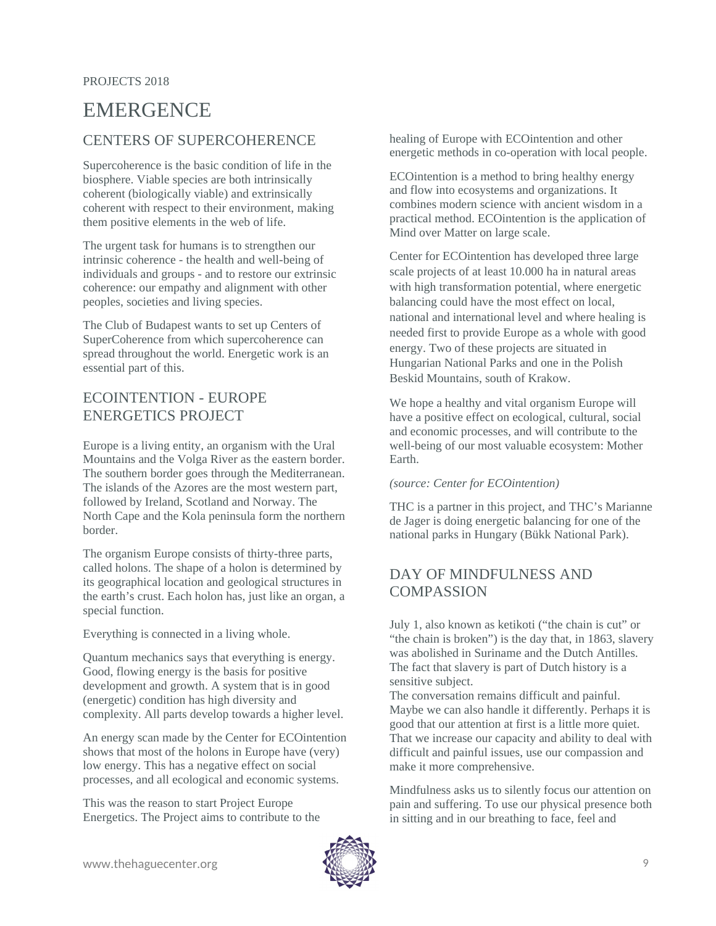# EMERGENCE

# CENTERS OF SUPERCOHERENCE

Supercoherence is the basic condition of life in the biosphere. Viable species are both intrinsically coherent (biologically viable) and extrinsically coherent with respect to their environment, making them positive elements in the web of life.

The urgent task for humans is to strengthen our intrinsic coherence - the health and well-being of individuals and groups - and to restore our extrinsic coherence: our empathy and alignment with other peoples, societies and living species.

The Club of Budapest wants to set up Centers of SuperCoherence from which supercoherence can spread throughout the world. Energetic work is an essential part of this.

## ECOINTENTION - EUROPE ENERGETICS PROJECT

Europe is a living entity, an organism with the Ural Mountains and the Volga River as the eastern border. The southern border goes through the Mediterranean. The islands of the Azores are the most western part, followed by Ireland, Scotland and Norway. The North Cape and the Kola peninsula form the northern border.

The organism Europe consists of thirty-three parts, called holons. The shape of a holon is determined by its geographical location and geological structures in the earth's crust. Each holon has, just like an organ, a special function.

Everything is connected in a living whole.

Quantum mechanics says that everything is energy. Good, flowing energy is the basis for positive development and growth. A system that is in good (energetic) condition has high diversity and complexity. All parts develop towards a higher level.

An energy scan made by the Center for ECOintention shows that most of the holons in Europe have (very) low energy. This has a negative effect on social processes, and all ecological and economic systems.

This was the reason to start Project Europe Energetics. The Project aims to contribute to the healing of Europe with ECOintention and other energetic methods in co-operation with local people.

ECOintention is a method to bring healthy energy and flow into ecosystems and organizations. It combines modern science with ancient wisdom in a practical method. ECOintention is the application of Mind over Matter on large scale.

Center for ECOintention has developed three large scale projects of at least 10.000 ha in natural areas with high transformation potential, where energetic balancing could have the most effect on local, national and international level and where healing is needed first to provide Europe as a whole with good energy. Two of these projects are situated in Hungarian National Parks and one in the Polish Beskid Mountains, south of Krakow.

We hope a healthy and vital organism Europe will have a positive effect on ecological, cultural, social and economic processes, and will contribute to the well-being of our most valuable ecosystem: Mother Earth.

#### *(source: Center for ECOintention)*

THC is a partner in this project, and THC's Marianne de Jager is doing energetic balancing for one of the national parks in Hungary (Bükk National Park).

# DAY OF MINDFULNESS AND COMPASSION

July 1, also known as ketikoti ("the chain is cut" or "the chain is broken") is the day that, in 1863, slavery was abolished in Suriname and the Dutch Antilles. The fact that slavery is part of Dutch history is a sensitive subject.

The conversation remains difficult and painful. Maybe we can also handle it differently. Perhaps it is good that our attention at first is a little more quiet. That we increase our capacity and ability to deal with difficult and painful issues, use our compassion and make it more comprehensive.

Mindfulness asks us to silently focus our attention on pain and suffering. To use our physical presence both in sitting and in our breathing to face, feel and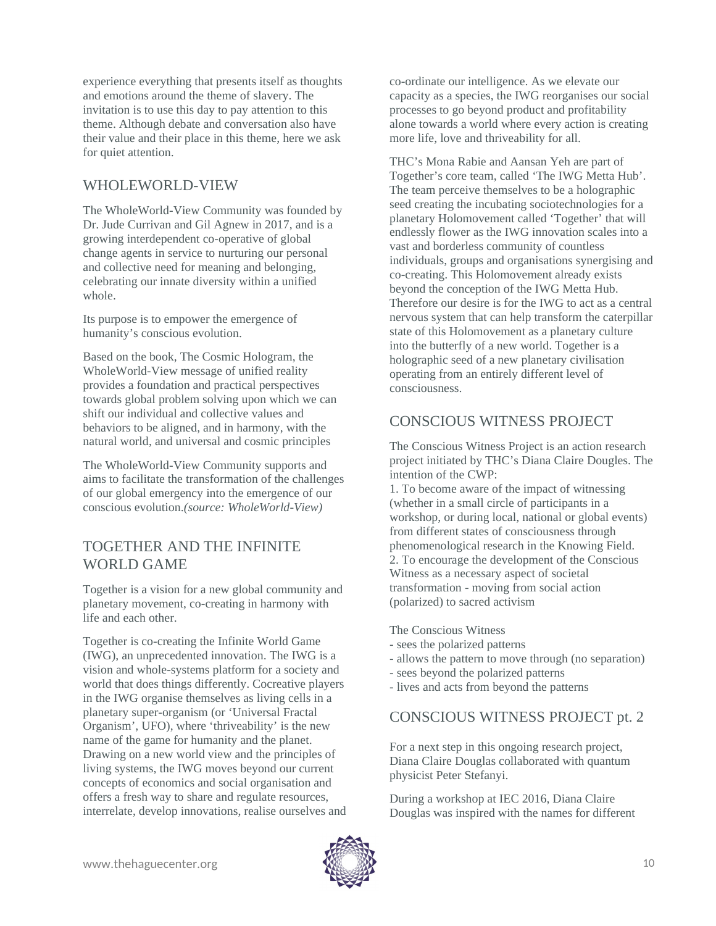experience everything that presents itself as thoughts and emotions around the theme of slavery. The invitation is to use this day to pay attention to this theme. Although debate and conversation also have their value and their place in this theme, here we ask for quiet attention.

# WHOLEWORLD-VIEW

The WholeWorld-View Community was founded by Dr. Jude Currivan and Gil Agnew in 2017, and is a growing interdependent co-operative of global change agents in service to nurturing our personal and collective need for meaning and belonging, celebrating our innate diversity within a unified whole.

Its purpose is to empower the emergence of humanity's conscious evolution.

Based on the book, The Cosmic Hologram, the WholeWorld-View message of unified reality provides a foundation and practical perspectives towards global problem solving upon which we can shift our individual and collective values and behaviors to be aligned, and in harmony, with the natural world, and universal and cosmic principles

The WholeWorld-View Community supports and aims to facilitate the transformation of the challenges of our global emergency into the emergence of our conscious evolution.*(source: WholeWorld-View)*

## TOGETHER AND THE INFINITE WORLD GAME

Together is a vision for a new global community and planetary movement, co-creating in harmony with life and each other.

Together is co-creating the Infinite World Game (IWG), an unprecedented innovation. The IWG is a vision and whole-systems platform for a society and world that does things differently. Cocreative players in the IWG organise themselves as living cells in a planetary super-organism (or 'Universal Fractal Organism', UFO), where 'thriveability' is the new name of the game for humanity and the planet. Drawing on a new world view and the principles of living systems, the IWG moves beyond our current concepts of economics and social organisation and offers a fresh way to share and regulate resources, interrelate, develop innovations, realise ourselves and co-ordinate our intelligence. As we elevate our capacity as a species, the IWG reorganises our social processes to go beyond product and profitability alone towards a world where every action is creating more life, love and thriveability for all.

THC's Mona Rabie and Aansan Yeh are part of Together's core team, called 'The IWG Metta Hub'. The team perceive themselves to be a holographic seed creating the incubating sociotechnologies for a planetary Holomovement called 'Together' that will endlessly flower as the IWG innovation scales into a vast and borderless community of countless individuals, groups and organisations synergising and co-creating. This Holomovement already exists beyond the conception of the IWG Metta Hub. Therefore our desire is for the IWG to act as a central nervous system that can help transform the caterpillar state of this Holomovement as a planetary culture into the butterfly of a new world. Together is a holographic seed of a new planetary civilisation operating from an entirely different level of consciousness.

# CONSCIOUS WITNESS PROJECT

The Conscious Witness Project is an action research project initiated by THC's Diana Claire Dougles. The intention of the CWP:

1. To become aware of the impact of witnessing (whether in a small circle of participants in a workshop, or during local, national or global events) from different states of consciousness through phenomenological research in the Knowing Field. 2. To encourage the development of the Conscious Witness as a necessary aspect of societal transformation - moving from social action (polarized) to sacred activism

The Conscious Witness

- sees the polarized patterns
- allows the pattern to move through (no separation)
- sees beyond the polarized patterns
- lives and acts from beyond the patterns

# CONSCIOUS WITNESS PROJECT pt. 2

For a next step in this ongoing research project, Diana Claire Douglas collaborated with quantum physicist Peter Stefanyi.

During a workshop at IEC 2016, Diana Claire Douglas was inspired with the names for different

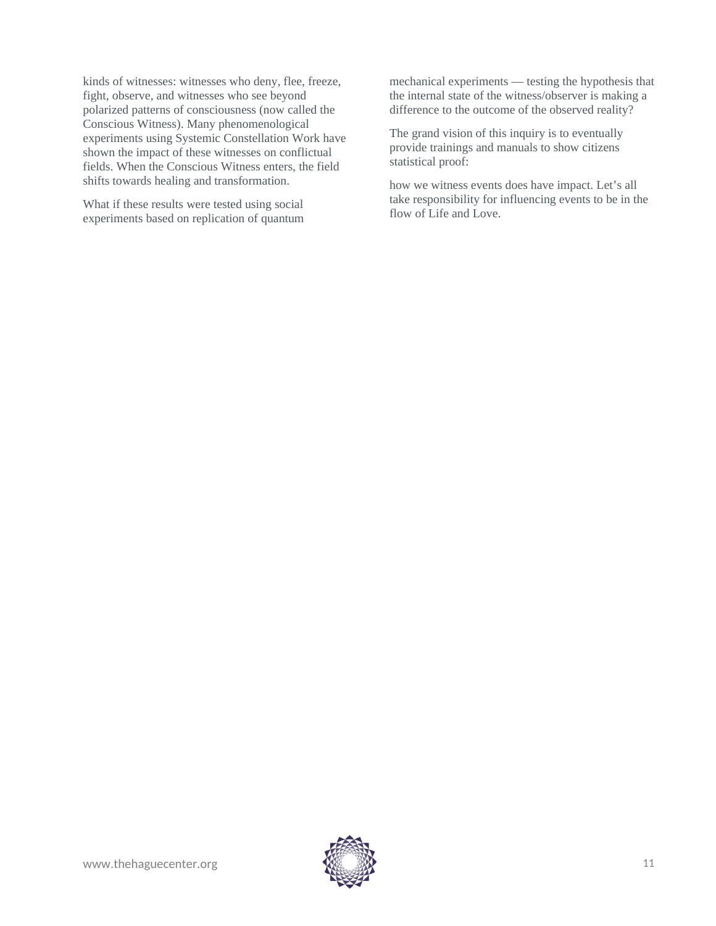kinds of witnesses: witnesses who deny, flee, freeze, fight, observe, and witnesses who see beyond polarized patterns of consciousness (now called the Conscious Witness). Many phenomenological experiments using Systemic Constellation Work have shown the impact of these witnesses on conflictual fields. When the Conscious Witness enters, the field shifts towards healing and transformation.

What if these results were tested using social experiments based on replication of quantum mechanical experiments — testing the hypothesis that the internal state of the witness/observer is making a difference to the outcome of the observed reality?

The grand vision of this inquiry is to eventually provide trainings and manuals to show citizens statistical proof:

how we witness events does have impact. Let's all take responsibility for influencing events to be in the flow of Life and Love.